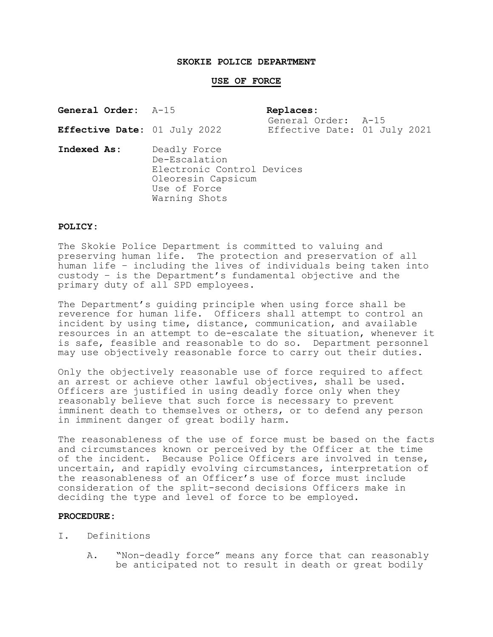#### **SKOKIE POLICE DEPARTMENT**

#### **USE OF FORCE**

| <b>General Order:</b> A-15   | Replaces:                                           |  |
|------------------------------|-----------------------------------------------------|--|
| Effective Date: 01 July 2022 | General Order: A-15<br>Effective Date: 01 July 2021 |  |

**Indexed As:** Deadly Force De-Escalation Electronic Control Devices Oleoresin Capsicum Use of Force Warning Shots

#### **POLICY:**

The Skokie Police Department is committed to valuing and preserving human life. The protection and preservation of all human life – including the lives of individuals being taken into custody – is the Department's fundamental objective and the primary duty of all SPD employees.

The Department's guiding principle when using force shall be reverence for human life. Officers shall attempt to control an incident by using time, distance, communication, and available resources in an attempt to de-escalate the situation, whenever it is safe, feasible and reasonable to do so. Department personnel may use objectively reasonable force to carry out their duties.

Only the objectively reasonable use of force required to affect an arrest or achieve other lawful objectives, shall be used. Officers are justified in using deadly force only when they reasonably believe that such force is necessary to prevent imminent death to themselves or others, or to defend any person in imminent danger of great bodily harm.

The reasonableness of the use of force must be based on the facts and circumstances known or perceived by the Officer at the time of the incident. Because Police Officers are involved in tense, uncertain, and rapidly evolving circumstances, interpretation of the reasonableness of an Officer's use of force must include consideration of the split-second decisions Officers make in deciding the type and level of force to be employed.

#### **PROCEDURE:**

- I. Definitions
	- A. "Non-deadly force" means any force that can reasonably be anticipated not to result in death or great bodily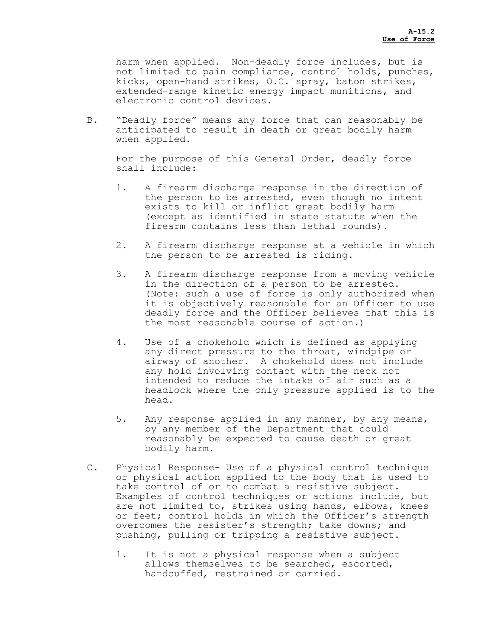harm when applied. Non-deadly force includes, but is not limited to pain compliance, control holds, punches, kicks, open-hand strikes, O.C. spray, baton strikes, extended-range kinetic energy impact munitions, and electronic control devices.

B. "Deadly force" means any force that can reasonably be anticipated to result in death or great bodily harm when applied.

For the purpose of this General Order, deadly force shall include:

- 1. A firearm discharge response in the direction of the person to be arrested, even though no intent exists to kill or inflict great bodily harm (except as identified in state statute when the firearm contains less than lethal rounds).
- 2. A firearm discharge response at a vehicle in which the person to be arrested is riding.
- 3. A firearm discharge response from a moving vehicle in the direction of a person to be arrested. (Note: such a use of force is only authorized when it is objectively reasonable for an Officer to use deadly force and the Officer believes that this is the most reasonable course of action.)
- 4. Use of a chokehold which is defined as applying any direct pressure to the throat, windpipe or airway of another. A chokehold does not include any hold involving contact with the neck not intended to reduce the intake of air such as a headlock where the only pressure applied is to the head.
- 5. Any response applied in any manner, by any means, by any member of the Department that could reasonably be expected to cause death or great bodily harm.
- C. Physical Response- Use of a physical control technique or physical action applied to the body that is used to take control of or to combat a resistive subject. Examples of control techniques or actions include, but are not limited to, strikes using hands, elbows, knees or feet; control holds in which the Officer's strength overcomes the resister's strength; take downs; and pushing, pulling or tripping a resistive subject.
	- 1. It is not a physical response when a subject allows themselves to be searched, escorted, handcuffed, restrained or carried.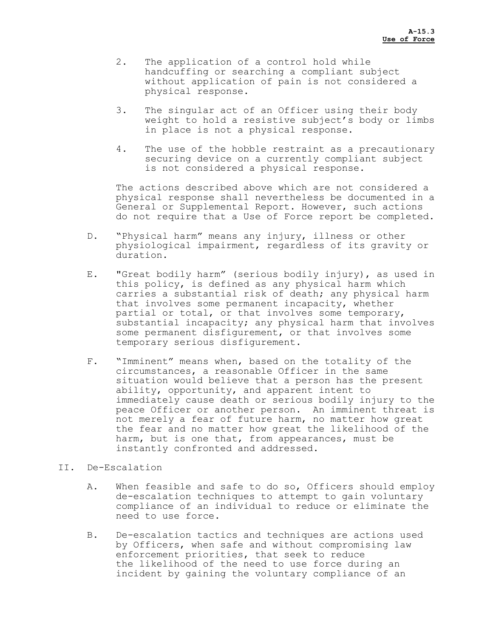- 2. The application of a control hold while handcuffing or searching a compliant subject without application of pain is not considered a physical response.
- 3. The singular act of an Officer using their body weight to hold a resistive subject's body or limbs in place is not a physical response.
- 4. The use of the hobble restraint as a precautionary securing device on a currently compliant subject is not considered a physical response.

The actions described above which are not considered a physical response shall nevertheless be documented in a General or Supplemental Report. However, such actions do not require that a Use of Force report be completed.

- D. "Physical harm" means any injury, illness or other physiological impairment, regardless of its gravity or duration.
- E. "Great bodily harm" (serious bodily injury), as used in this policy, is defined as any physical harm which carries a substantial risk of death; any physical harm that involves some permanent incapacity, whether partial or total, or that involves some temporary, substantial incapacity; any physical harm that involves some permanent disfigurement, or that involves some temporary serious disfigurement.
- F. "Imminent" means when, based on the totality of the circumstances, a reasonable Officer in the same situation would believe that a person has the present ability, opportunity, and apparent intent to immediately cause death or serious bodily injury to the peace Officer or another person. An imminent threat is not merely a fear of future harm, no matter how great the fear and no matter how great the likelihood of the harm, but is one that, from appearances, must be instantly confronted and addressed.

## II. De-Escalation

- A. When feasible and safe to do so, Officers should employ de-escalation techniques to attempt to gain voluntary compliance of an individual to reduce or eliminate the need to use force.
- B. De-escalation tactics and techniques are actions used by Officers, when safe and without compromising law enforcement priorities, that seek to reduce the likelihood of the need to use force during an incident by gaining the voluntary compliance of an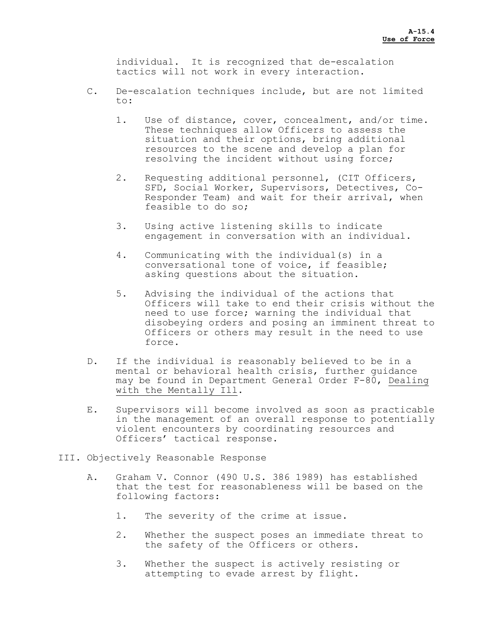individual. It is recognized that de-escalation tactics will not work in every interaction.

- C. De-escalation techniques include, but are not limited to:
	- 1. Use of distance, cover, concealment, and/or time. These techniques allow Officers to assess the situation and their options, bring additional resources to the scene and develop a plan for resolving the incident without using force;
	- 2. Requesting additional personnel, (CIT Officers, SFD, Social Worker, Supervisors, Detectives, Co-Responder Team) and wait for their arrival, when feasible to do so;
	- 3. Using active listening skills to indicate engagement in conversation with an individual.
	- 4. Communicating with the individual(s) in a conversational tone of voice, if feasible; asking questions about the situation.
	- 5. Advising the individual of the actions that Officers will take to end their crisis without the need to use force; warning the individual that disobeying orders and posing an imminent threat to Officers or others may result in the need to use force.
- D. If the individual is reasonably believed to be in a mental or behavioral health crisis, further guidance may be found in Department General Order F-80, Dealing with the Mentally Ill.
- E. Supervisors will become involved as soon as practicable in the management of an overall response to potentially violent encounters by coordinating resources and Officers' tactical response.
- III. Objectively Reasonable Response
	- A. Graham V. Connor (490 U.S. 386 1989) has established that the test for reasonableness will be based on the following factors:
		- 1. The severity of the crime at issue.
		- 2. Whether the suspect poses an immediate threat to the safety of the Officers or others.
		- 3. Whether the suspect is actively resisting or attempting to evade arrest by flight.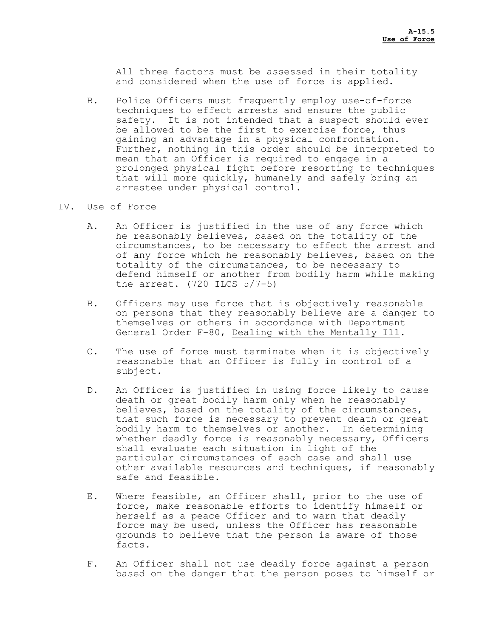All three factors must be assessed in their totality and considered when the use of force is applied.

- B. Police Officers must frequently employ use-of-force techniques to effect arrests and ensure the public safety. It is not intended that a suspect should ever be allowed to be the first to exercise force, thus gaining an advantage in a physical confrontation. Further, nothing in this order should be interpreted to mean that an Officer is required to engage in a prolonged physical fight before resorting to techniques that will more quickly, humanely and safely bring an arrestee under physical control.
- IV. Use of Force
	- A. An Officer is justified in the use of any force which he reasonably believes, based on the totality of the circumstances, to be necessary to effect the arrest and of any force which he reasonably believes, based on the totality of the circumstances, to be necessary to defend himself or another from bodily harm while making the arrest.  $(720$  ILCS  $5/7-5)$
	- B. Officers may use force that is objectively reasonable on persons that they reasonably believe are a danger to themselves or others in accordance with Department General Order F-80, Dealing with the Mentally Ill.
	- C. The use of force must terminate when it is objectively reasonable that an Officer is fully in control of a subject.
	- D. An Officer is justified in using force likely to cause death or great bodily harm only when he reasonably believes, based on the totality of the circumstances, that such force is necessary to prevent death or great bodily harm to themselves or another. In determining whether deadly force is reasonably necessary, Officers shall evaluate each situation in light of the particular circumstances of each case and shall use other available resources and techniques, if reasonably safe and feasible.
	- E. Where feasible, an Officer shall, prior to the use of force, make reasonable efforts to identify himself or herself as a peace Officer and to warn that deadly force may be used, unless the Officer has reasonable grounds to believe that the person is aware of those facts.
	- F. An Officer shall not use deadly force against a person based on the danger that the person poses to himself or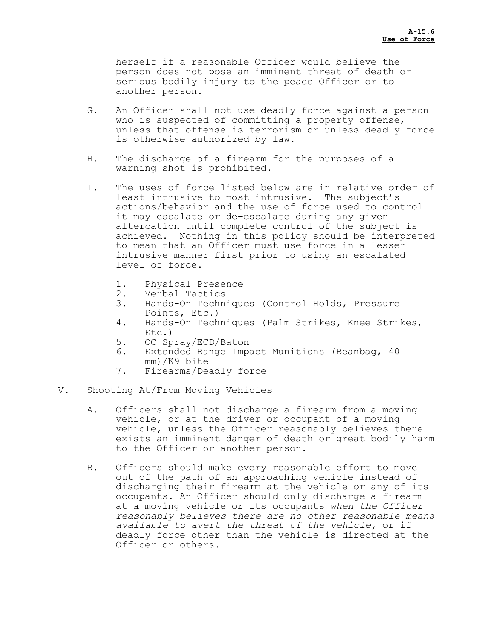herself if a reasonable Officer would believe the person does not pose an imminent threat of death or serious bodily injury to the peace Officer or to another person.

- G. An Officer shall not use deadly force against a person who is suspected of committing a property offense, unless that offense is terrorism or unless deadly force is otherwise authorized by law.
- H. The discharge of a firearm for the purposes of a warning shot is prohibited.
- I. The uses of force listed below are in relative order of least intrusive to most intrusive. The subject's actions/behavior and the use of force used to control it may escalate or de-escalate during any given altercation until complete control of the subject is achieved. Nothing in this policy should be interpreted to mean that an Officer must use force in a lesser intrusive manner first prior to using an escalated level of force.
	- 1. Physical Presence
	- 2. Verbal Tactics
	- 3. Hands-On Techniques (Control Holds, Pressure Points, Etc.)
	- 4. Hands-On Techniques (Palm Strikes, Knee Strikes, Etc.)
	- 5. OC Spray/ECD/Baton
	- 6. Extended Range Impact Munitions (Beanbag, 40 mm)/K9 bite
	- 7. Firearms/Deadly force
- V. Shooting At/From Moving Vehicles
	- A. Officers shall not discharge a firearm from a moving vehicle, or at the driver or occupant of a moving vehicle, unless the Officer reasonably believes there exists an imminent danger of death or great bodily harm to the Officer or another person.
	- B. Officers should make every reasonable effort to move out of the path of an approaching vehicle instead of discharging their firearm at the vehicle or any of its occupants. An Officer should only discharge a firearm at a moving vehicle or its occupants *when the Officer reasonably believes there are no other reasonable means available to avert the threat of the vehicle,* or if deadly force other than the vehicle is directed at the Officer or others.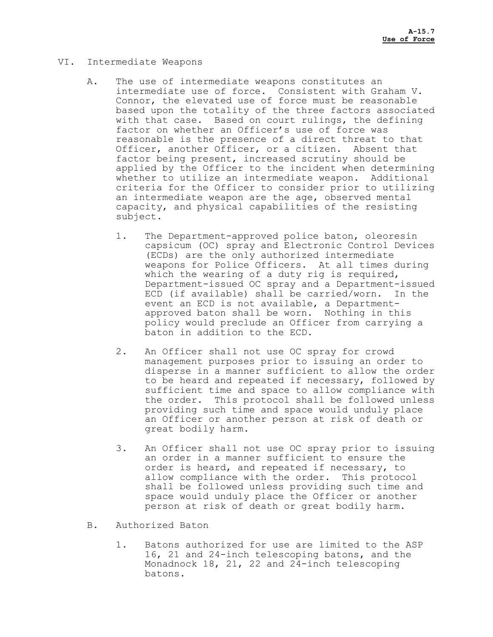## VI. Intermediate Weapons

- A. The use of intermediate weapons constitutes an intermediate use of force. Consistent with Graham V. Connor, the elevated use of force must be reasonable based upon the totality of the three factors associated with that case. Based on court rulings, the defining factor on whether an Officer's use of force was reasonable is the presence of a direct threat to that Officer, another Officer, or a citizen. Absent that factor being present, increased scrutiny should be applied by the Officer to the incident when determining whether to utilize an intermediate weapon. Additional criteria for the Officer to consider prior to utilizing an intermediate weapon are the age, observed mental capacity, and physical capabilities of the resisting subject.
	- 1. The Department-approved police baton, oleoresin capsicum (OC) spray and Electronic Control Devices (ECDs) are the only authorized intermediate weapons for Police Officers. At all times during which the wearing of a duty rig is required, Department-issued OC spray and a Department-issued ECD (if available) shall be carried/worn. In the event an ECD is not available, a Departmentapproved baton shall be worn. Nothing in this policy would preclude an Officer from carrying a baton in addition to the ECD.
	- 2. An Officer shall not use OC spray for crowd management purposes prior to issuing an order to disperse in a manner sufficient to allow the order to be heard and repeated if necessary, followed by sufficient time and space to allow compliance with the order. This protocol shall be followed unless providing such time and space would unduly place an Officer or another person at risk of death or great bodily harm.
	- 3. An Officer shall not use OC spray prior to issuing an order in a manner sufficient to ensure the order is heard, and repeated if necessary, to allow compliance with the order. This protocol shall be followed unless providing such time and space would unduly place the Officer or another person at risk of death or great bodily harm.
- B. Authorized Baton
	- 1. Batons authorized for use are limited to the ASP 16, 21 and 24-inch telescoping batons, and the Monadnock 18, 21, 22 and 24-inch telescoping batons.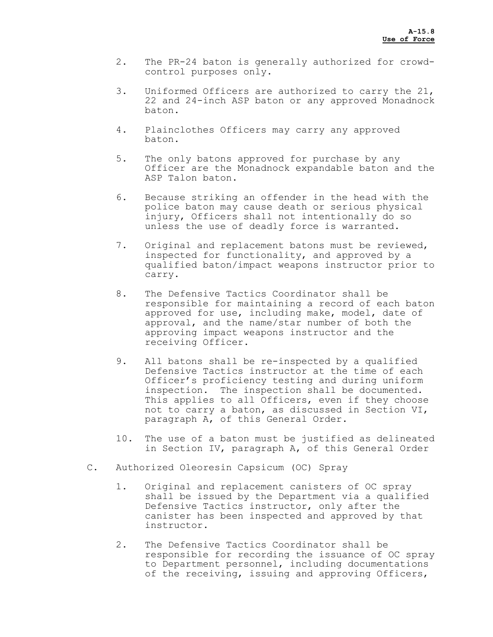- 2. The PR-24 baton is generally authorized for crowdcontrol purposes only.
- 3. Uniformed Officers are authorized to carry the 21, 22 and 24-inch ASP baton or any approved Monadnock baton.
- 4. Plainclothes Officers may carry any approved baton.
- 5. The only batons approved for purchase by any Officer are the Monadnock expandable baton and the ASP Talon baton.
- 6. Because striking an offender in the head with the police baton may cause death or serious physical injury, Officers shall not intentionally do so unless the use of deadly force is warranted.
- 7. Original and replacement batons must be reviewed, inspected for functionality, and approved by a qualified baton/impact weapons instructor prior to carry.
- 8. The Defensive Tactics Coordinator shall be responsible for maintaining a record of each baton approved for use, including make, model, date of approval, and the name/star number of both the approving impact weapons instructor and the receiving Officer.
- 9. All batons shall be re-inspected by a qualified Defensive Tactics instructor at the time of each Officer's proficiency testing and during uniform inspection. The inspection shall be documented. This applies to all Officers, even if they choose not to carry a baton, as discussed in Section VI, paragraph A, of this General Order.
- 10. The use of a baton must be justified as delineated in Section IV, paragraph A, of this General Order
- C. Authorized Oleoresin Capsicum (OC) Spray
	- 1. Original and replacement canisters of OC spray shall be issued by the Department via a qualified Defensive Tactics instructor, only after the canister has been inspected and approved by that instructor.
	- 2. The Defensive Tactics Coordinator shall be responsible for recording the issuance of OC spray to Department personnel, including documentations of the receiving, issuing and approving Officers,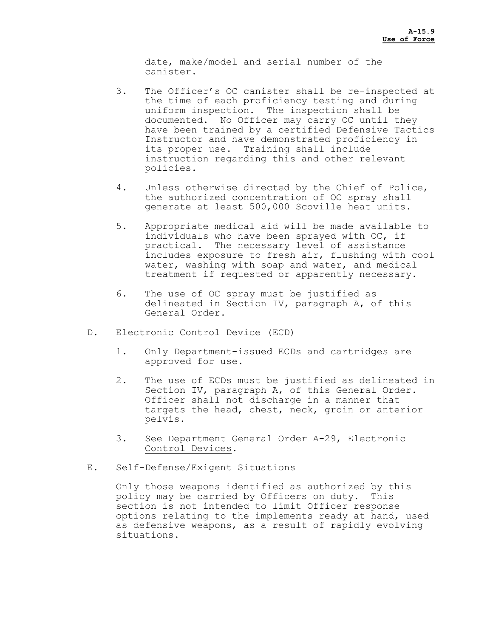date, make/model and serial number of the canister.

- 3. The Officer's OC canister shall be re-inspected at the time of each proficiency testing and during uniform inspection. The inspection shall be documented. No Officer may carry OC until they have been trained by a certified Defensive Tactics Instructor and have demonstrated proficiency in its proper use. Training shall include instruction regarding this and other relevant policies.
- 4. Unless otherwise directed by the Chief of Police, the authorized concentration of OC spray shall generate at least 500,000 Scoville heat units.
- 5. Appropriate medical aid will be made available to individuals who have been sprayed with OC, if practical. The necessary level of assistance includes exposure to fresh air, flushing with cool water, washing with soap and water, and medical treatment if requested or apparently necessary.
- 6. The use of OC spray must be justified as delineated in Section IV, paragraph A, of this General Order.
- D. Electronic Control Device (ECD)
	- 1. Only Department-issued ECDs and cartridges are approved for use.
	- 2. The use of ECDs must be justified as delineated in Section IV, paragraph A, of this General Order.<br>Officer shall not discharge in a manner that targets the head, chest, neck, groin or anterior pelvis.
	- 3. See Department General Order A-29, Electronic Control Devices.
- E. Self-Defense/Exigent Situations

Only those weapons identified as authorized by this policy may be carried by Officers on duty. This section is not intended to limit Officer response options relating to the implements ready at hand, used as defensive weapons, as a result of rapidly evolving situations.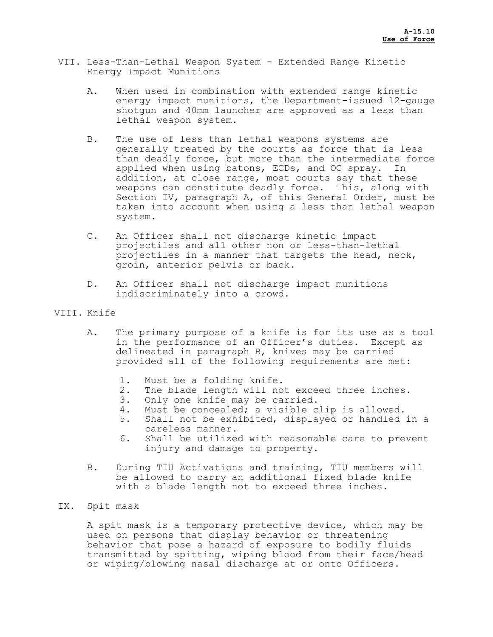- VII. Less-Than-Lethal Weapon System Extended Range Kinetic Energy Impact Munitions
	- A. When used in combination with extended range kinetic energy impact munitions, the Department-issued 12-gauge shotgun and 40mm launcher are approved as a less than lethal weapon system.
	- B. The use of less than lethal weapons systems are generally treated by the courts as force that is less than deadly force, but more than the intermediate force applied when using batons, ECDs, and OC spray. In addition, at close range, most courts say that these weapons can constitute deadly force. This, along with Section IV, paragraph A, of this General Order, must be taken into account when using a less than lethal weapon system.
	- C. An Officer shall not discharge kinetic impact projectiles and all other non or less-than-lethal projectiles in a manner that targets the head, neck, groin, anterior pelvis or back.
	- D. An Officer shall not discharge impact munitions indiscriminately into a crowd.

### VIII. Knife

- A. The primary purpose of a knife is for its use as a tool in the performance of an Officer's duties. Except as delineated in paragraph B, knives may be carried provided all of the following requirements are met:
	- 1. Must be a folding knife.
	- 2. The blade length will not exceed three inches.<br>3. Only one knife may be carried.
	-
	- 4. Must be concealed; a visible clip is allowed.
	- 5. Shall not be exhibited, displayed or handled in a careless manner.
	- 6. Shall be utilized with reasonable care to prevent injury and damage to property.
- B. During TIU Activations and training, TIU members will be allowed to carry an additional fixed blade knife with a blade length not to exceed three inches.

## IX. Spit mask

A spit mask is a temporary protective device, which may be used on persons that display behavior or threatening behavior that pose a hazard of exposure to bodily fluids transmitted by spitting, wiping blood from their face/head or wiping/blowing nasal discharge at or onto Officers.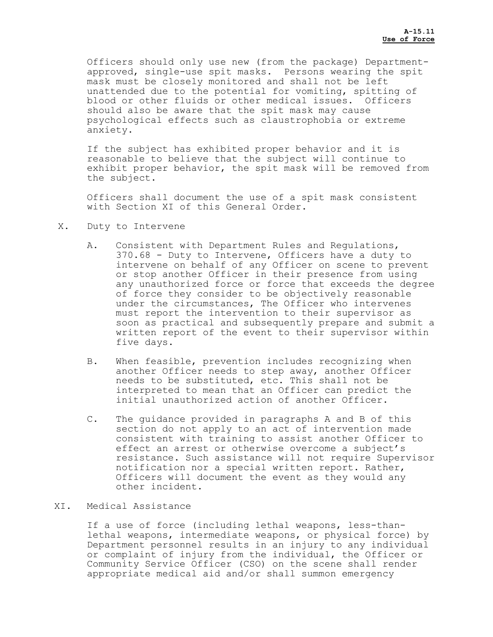Officers should only use new (from the package) Departmentapproved, single-use spit masks. Persons wearing the spit mask must be closely monitored and shall not be left unattended due to the potential for vomiting, spitting of blood or other fluids or other medical issues. Officers should also be aware that the spit mask may cause psychological effects such as claustrophobia or extreme anxiety.

If the subject has exhibited proper behavior and it is reasonable to believe that the subject will continue to exhibit proper behavior, the spit mask will be removed from the subject.

Officers shall document the use of a spit mask consistent with Section XI of this General Order.

- X. Duty to Intervene
	- A. Consistent with Department Rules and Regulations, 370.68 - Duty to Intervene, Officers have a duty to intervene on behalf of any Officer on scene to prevent or stop another Officer in their presence from using any unauthorized force or force that exceeds the degree of force they consider to be objectively reasonable under the circumstances, The Officer who intervenes must report the intervention to their supervisor as soon as practical and subsequently prepare and submit a written report of the event to their supervisor within five days.
	- B. When feasible, prevention includes recognizing when another Officer needs to step away, another Officer needs to be substituted, etc. This shall not be interpreted to mean that an Officer can predict the initial unauthorized action of another Officer.
	- C. The guidance provided in paragraphs A and B of this section do not apply to an act of intervention made consistent with training to assist another Officer to effect an arrest or otherwise overcome a subject's resistance. Such assistance will not require Supervisor notification nor a special written report. Rather, Officers will document the event as they would any other incident.

### XI. Medical Assistance

If a use of force (including lethal weapons, less-thanlethal weapons, intermediate weapons, or physical force) by Department personnel results in an injury to any individual or complaint of injury from the individual, the Officer or Community Service Officer (CSO) on the scene shall render appropriate medical aid and/or shall summon emergency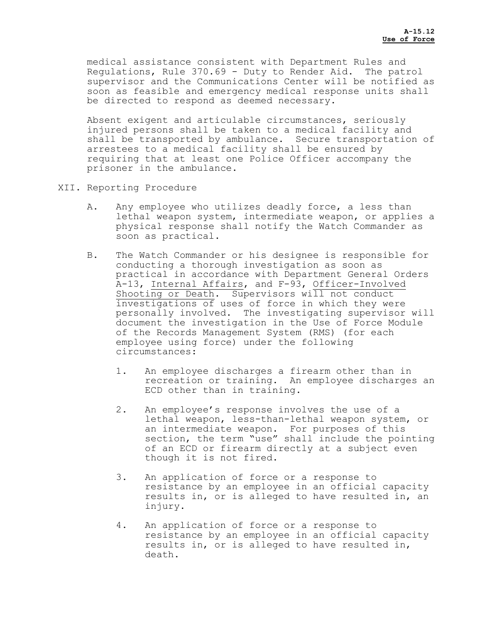medical assistance consistent with Department Rules and Regulations, Rule 370.69 - Duty to Render Aid. The patrol supervisor and the Communications Center will be notified as soon as feasible and emergency medical response units shall be directed to respond as deemed necessary.

Absent exigent and articulable circumstances, seriously injured persons shall be taken to a medical facility and shall be transported by ambulance. Secure transportation of arrestees to a medical facility shall be ensured by requiring that at least one Police Officer accompany the prisoner in the ambulance.

- XII. Reporting Procedure
	- A. Any employee who utilizes deadly force, a less than lethal weapon system, intermediate weapon, or applies a physical response shall notify the Watch Commander as soon as practical.
	- B. The Watch Commander or his designee is responsible for conducting a thorough investigation as soon as practical in accordance with Department General Orders A-13, Internal Affairs, and F-93, Officer-Involved Shooting or Death. Supervisors will not conduct investigations of uses of force in which they were personally involved. The investigating supervisor will document the investigation in the Use of Force Module of the Records Management System (RMS) (for each employee using force) under the following circumstances:
		- 1. An employee discharges a firearm other than in recreation or training. An employee discharges an ECD other than in training.
		- 2. An employee's response involves the use of a lethal weapon, less-than-lethal weapon system, or an intermediate weapon. For purposes of this section, the term "use" shall include the pointing of an ECD or firearm directly at a subject even though it is not fired.
		- 3. An application of force or a response to resistance by an employee in an official capacity results in, or is alleged to have resulted in, an injury.
		- 4. An application of force or a response to resistance by an employee in an official capacity results in, or is alleged to have resulted in, death.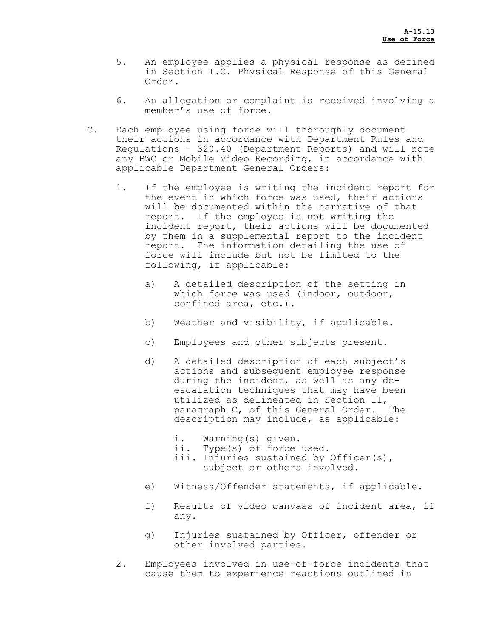- 5. An employee applies a physical response as defined in Section I.C. Physical Response of this General Order.
- 6. An allegation or complaint is received involving a member's use of force.
- C. Each employee using force will thoroughly document their actions in accordance with Department Rules and Regulations - 320.40 (Department Reports) and will note any BWC or Mobile Video Recording, in accordance with applicable Department General Orders:
	- 1. If the employee is writing the incident report for the event in which force was used, their actions will be documented within the narrative of that report. If the employee is not writing the incident report, their actions will be documented by them in a supplemental report to the incident report. The information detailing the use of force will include but not be limited to the following, if applicable:
		- a) A detailed description of the setting in which force was used (indoor, outdoor, confined area, etc.).
		- b) Weather and visibility, if applicable.
		- c) Employees and other subjects present.
		- d) A detailed description of each subject's actions and subsequent employee response during the incident, as well as any de-<br>escalation techniques that may have been utilized as delineated in Section II, paragraph C, of this General Order. The description may include, as applicable:
			- i. Warning(s) given.
			- ii. Type(s) of force used.
			- iii. Injuries sustained by Officer(s), subject or others involved.
		- e) Witness/Offender statements, if applicable.
		- f) Results of video canvass of incident area, if any.
		- g) Injuries sustained by Officer, offender or other involved parties.
	- 2. Employees involved in use-of-force incidents that cause them to experience reactions outlined in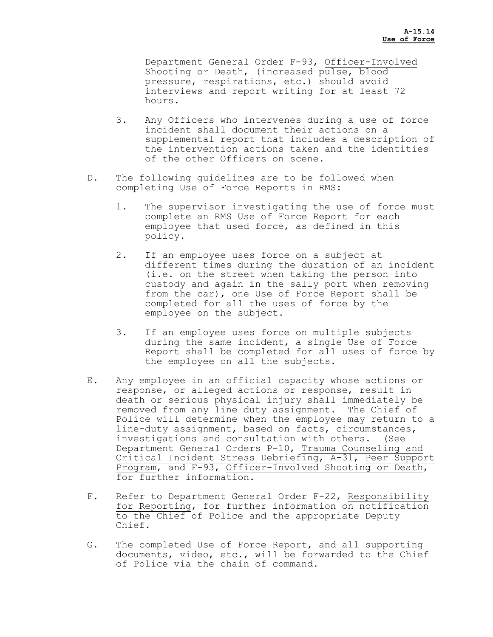Department General Order F-93, Officer-Involved Shooting or Death, (increased pulse, blood pressure, respirations, etc.) should avoid interviews and report writing for at least 72 hours.

- 3. Any Officers who intervenes during a use of force incident shall document their actions on a supplemental report that includes a description of the intervention actions taken and the identities of the other Officers on scene.
- D. The following guidelines are to be followed when completing Use of Force Reports in RMS:
	- 1. The supervisor investigating the use of force must complete an RMS Use of Force Report for each employee that used force, as defined in this policy.
	- 2. If an employee uses force on a subject at different times during the duration of an incident (i.e. on the street when taking the person into custody and again in the sally port when removing from the car), one Use of Force Report shall be completed for all the uses of force by the employee on the subject.
	- 3. If an employee uses force on multiple subjects during the same incident, a single Use of Force Report shall be completed for all uses of force by the employee on all the subjects.
- E. Any employee in an official capacity whose actions or response, or alleged actions or response, result in death or serious physical injury shall immediately be removed from any line duty assignment. The Chief of Police will determine when the employee may return to a line-duty assignment, based on facts, circumstances, investigations and consultation with others. (See Department General Orders P-10, Trauma Counseling and Critical Incident Stress Debriefing, A-31, Peer Support Program, and F-93, Officer-Involved Shooting or Death, for further information.
- F. Refer to Department General Order F-22, Responsibility for Reporting, for further information on notification to the Chief of Police and the appropriate Deputy Chief.
- G. The completed Use of Force Report, and all supporting documents, video, etc., will be forwarded to the Chief of Police via the chain of command.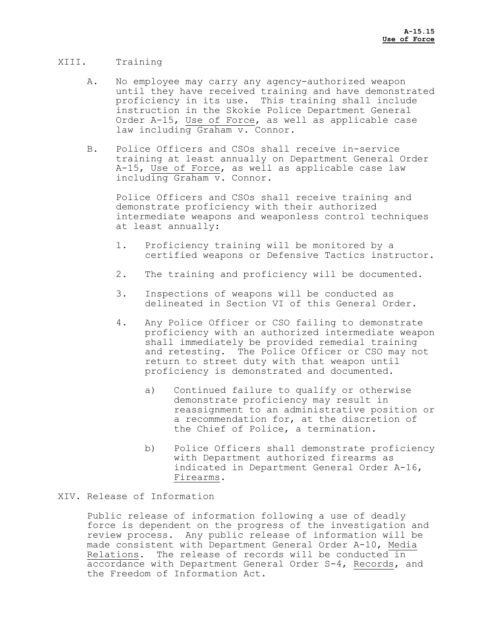## XIII. Training

- A. No employee may carry any agency-authorized weapon until they have received training and have demonstrated proficiency in its use. This training shall include instruction in the Skokie Police Department General Order A-15, Use of Force, as well as applicable case law including Graham v. Connor.
- B. Police Officers and CSOs shall receive in-service training at least annually on Department General Order A-15, Use of Force, as well as applicable case law including Graham v. Connor.

Police Officers and CSOs shall receive training and demonstrate proficiency with their authorized intermediate weapons and weaponless control techniques at least annually:

- 1. Proficiency training will be monitored by a certified weapons or Defensive Tactics instructor.
- 2. The training and proficiency will be documented.
- 3. Inspections of weapons will be conducted as delineated in Section VI of this General Order.
- 4. Any Police Officer or CSO failing to demonstrate proficiency with an authorized intermediate weapon shall immediately be provided remedial training and retesting. The Police Officer or CSO may not return to street duty with that weapon until proficiency is demonstrated and documented.
	- a) Continued failure to qualify or otherwise demonstrate proficiency may result in reassignment to an administrative position or a recommendation for, at the discretion of the Chief of Police, a termination.
	- b) Police Officers shall demonstrate proficiency with Department authorized firearms as indicated in Department General Order A-16, Firearms.

# XIV. Release of Information

Public release of information following a use of deadly force is dependent on the progress of the investigation and review process. Any public release of information will be made consistent with Department General Order A-10, Media Relations. The release of records will be conducted in accordance with Department General Order S-4, Records, and the Freedom of Information Act.